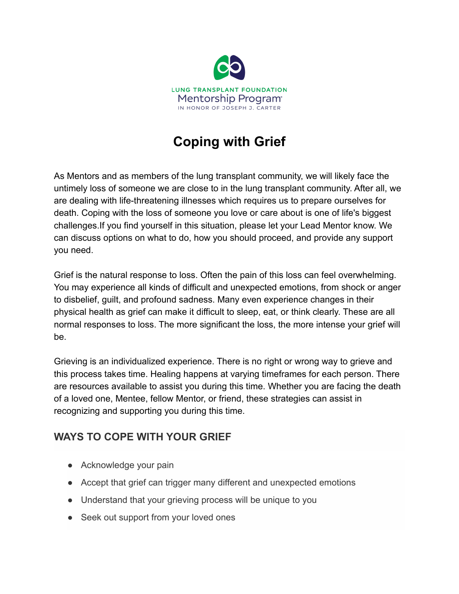

# **Coping with Grief**

As Mentors and as members of the lung transplant community, we will likely face the untimely loss of someone we are close to in the lung transplant community. After all, we are dealing with life-threatening illnesses which requires us to prepare ourselves for death. Coping with the loss of someone you love or care about is one of life's biggest challenges.If you find yourself in this situation, please let your Lead Mentor know. We can discuss options on what to do, how you should proceed, and provide any support you need.

Grief is the natural response to loss. Often the pain of this loss can feel overwhelming. You may experience all kinds of difficult and unexpected emotions, from shock or anger to disbelief, guilt, and profound sadness. Many even experience changes in their physical health as grief can make it difficult to sleep, eat, or think clearly. These are all normal responses to loss. The more significant the loss, the more intense your grief will be.

Grieving is an individualized experience. There is no right or wrong way to grieve and this process takes time. Healing happens at varying timeframes for each person. There are resources available to assist you during this time. Whether you are facing the death of a loved one, Mentee, fellow Mentor, or friend, these strategies can assist in recognizing and supporting you during this time.

## **WAYS TO COPE WITH YOUR GRIEF**

- Acknowledge your pain
- Accept that grief can trigger many different and unexpected emotions
- Understand that your grieving process will be unique to you
- Seek out support from your loved ones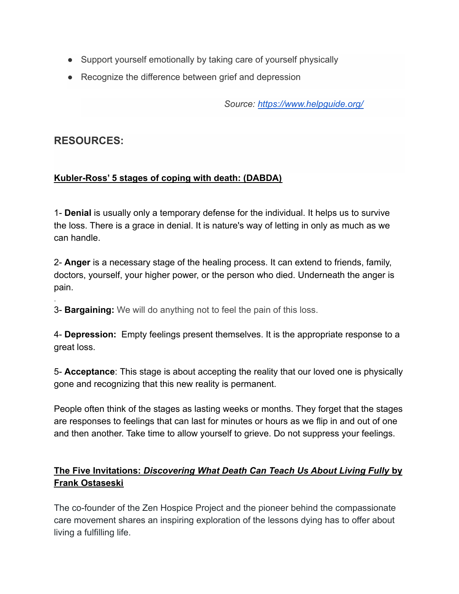- Support yourself emotionally by taking care of yourself physically
- Recognize the difference between grief and depression

*Source: <https://www.helpguide.org/>*

## **RESOURCES:**

.

#### **Kubler-Ross' 5 stages of coping with death: (DABDA)**

1- **Denial** is usually only a temporary defense for the individual. It helps us to survive the loss. There is a grace in denial. It is nature's way of letting in only as much as we can handle.

2- **Anger** is a necessary stage of the healing process. It can extend to friends, family, doctors, yourself, your higher power, or the person who died. Underneath the anger is pain.

3- **Bargaining:** We will do anything not to feel the pain of this loss.

4- **Depression:** Empty feelings present themselves. It is the appropriate response to a great loss.

5- **Acceptance**: This stage is about accepting the reality that our loved one is physically gone and recognizing that this new reality is permanent.

People often think of the stages as lasting weeks or months. They forget that the stages are responses to feelings that can last for minutes or hours as we flip in and out of one and then another. Take time to allow yourself to grieve. Do not suppress your feelings.

### **The Five Invitations:** *Discovering What Death Can Teach Us About Living Fully* **by Frank Ostaseski**

The co-founder of the Zen Hospice Project and the pioneer behind the compassionate care movement shares an inspiring exploration of the lessons dying has to offer about living a fulfilling life.